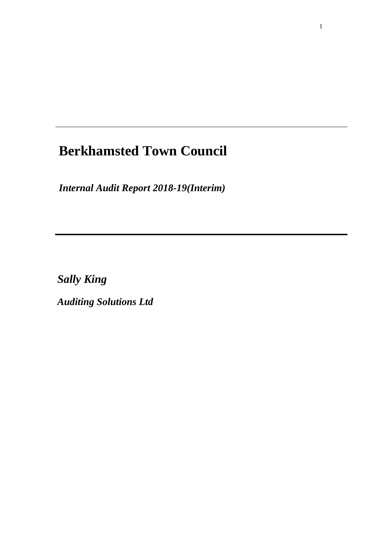# **Berkhamsted Town Council**

*Internal Audit Report 2018-19(Interim)*

*Sally King*

*Auditing Solutions Ltd*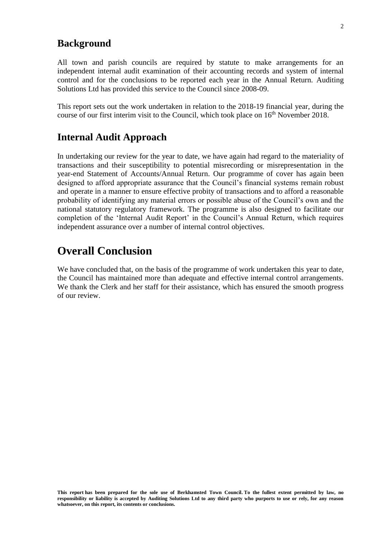### **Background**

All town and parish councils are required by statute to make arrangements for an independent internal audit examination of their accounting records and system of internal control and for the conclusions to be reported each year in the Annual Return. Auditing Solutions Ltd has provided this service to the Council since 2008-09.

This report sets out the work undertaken in relation to the 2018-19 financial year, during the course of our first interim visit to the Council, which took place on 16<sup>th</sup> November 2018.

### **Internal Audit Approach**

In undertaking our review for the year to date, we have again had regard to the materiality of transactions and their susceptibility to potential misrecording or misrepresentation in the year-end Statement of Accounts/Annual Return. Our programme of cover has again been designed to afford appropriate assurance that the Council's financial systems remain robust and operate in a manner to ensure effective probity of transactions and to afford a reasonable probability of identifying any material errors or possible abuse of the Council's own and the national statutory regulatory framework. The programme is also designed to facilitate our completion of the 'Internal Audit Report' in the Council's Annual Return, which requires independent assurance over a number of internal control objectives.

# **Overall Conclusion**

We have concluded that, on the basis of the programme of work undertaken this year to date, the Council has maintained more than adequate and effective internal control arrangements. We thank the Clerk and her staff for their assistance, which has ensured the smooth progress of our review.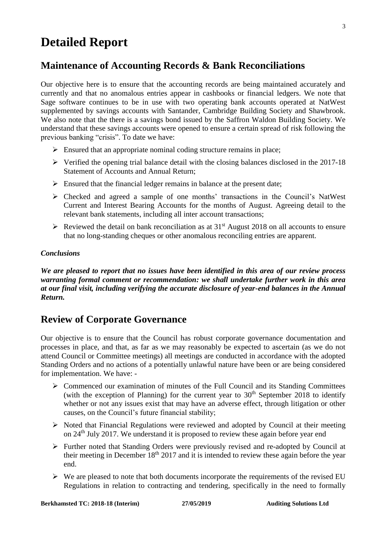# **Detailed Report**

# **Maintenance of Accounting Records & Bank Reconciliations**

Our objective here is to ensure that the accounting records are being maintained accurately and currently and that no anomalous entries appear in cashbooks or financial ledgers. We note that Sage software continues to be in use with two operating bank accounts operated at NatWest supplemented by savings accounts with Santander, Cambridge Building Society and Shawbrook. We also note that the there is a savings bond issued by the Saffron Waldon Building Society. We understand that these savings accounts were opened to ensure a certain spread of risk following the previous banking "crisis". To date we have:

- $\triangleright$  Ensured that an appropriate nominal coding structure remains in place;
- $\triangleright$  Verified the opening trial balance detail with the closing balances disclosed in the 2017-18 Statement of Accounts and Annual Return;
- $\triangleright$  Ensured that the financial ledger remains in balance at the present date;
- ➢ Checked and agreed a sample of one months' transactions in the Council's NatWest Current and Interest Bearing Accounts for the months of August. Agreeing detail to the relevant bank statements, including all inter account transactions;
- $\triangleright$  Reviewed the detail on bank reconciliation as at 31<sup>st</sup> August 2018 on all accounts to ensure that no long-standing cheques or other anomalous reconciling entries are apparent.

### *Conclusions*

*We are pleased to report that no issues have been identified in this area of our review process warranting formal comment or recommendation: we shall undertake further work in this area at our final visit, including verifying the accurate disclosure of year-end balances in the Annual Return.*

## **Review of Corporate Governance**

Our objective is to ensure that the Council has robust corporate governance documentation and processes in place, and that, as far as we may reasonably be expected to ascertain (as we do not attend Council or Committee meetings) all meetings are conducted in accordance with the adopted Standing Orders and no actions of a potentially unlawful nature have been or are being considered for implementation. We have: -

- ➢ Commenced our examination of minutes of the Full Council and its Standing Committees (with the exception of Planning) for the current year to  $30<sup>th</sup>$  September 2018 to identify whether or not any issues exist that may have an adverse effect, through litigation or other causes, on the Council's future financial stability;
- ➢ Noted that Financial Regulations were reviewed and adopted by Council at their meeting on 24th July 2017. We understand it is proposed to review these again before year end
- ➢ Further noted that Standing Orders were previously revised and re-adopted by Council at their meeting in December 18<sup>th</sup> 2017 and it is intended to review these again before the year end.
- $\triangleright$  We are pleased to note that both documents incorporate the requirements of the revised EU Regulations in relation to contracting and tendering, specifically in the need to formally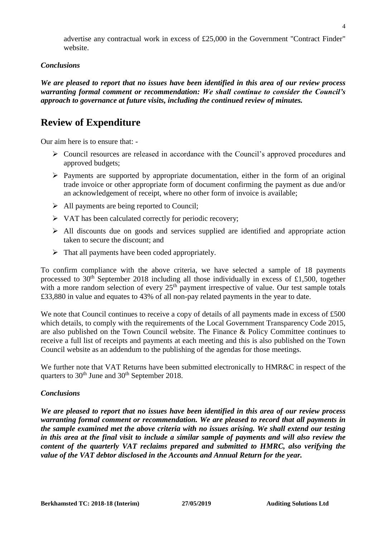advertise any contractual work in excess of £25,000 in the Government "Contract Finder" website.

#### *Conclusions*

*We are pleased to report that no issues have been identified in this area of our review process warranting formal comment or recommendation: We shall continue to consider the Council's approach to governance at future visits, including the continued review of minutes.* 

## **Review of Expenditure**

Our aim here is to ensure that: -

- ➢ Council resources are released in accordance with the Council's approved procedures and approved budgets;
- ➢ Payments are supported by appropriate documentation, either in the form of an original trade invoice or other appropriate form of document confirming the payment as due and/or an acknowledgement of receipt, where no other form of invoice is available;
- ➢ All payments are being reported to Council;
- ➢ VAT has been calculated correctly for periodic recovery;
- ➢ All discounts due on goods and services supplied are identified and appropriate action taken to secure the discount; and
- $\triangleright$  That all payments have been coded appropriately.

To confirm compliance with the above criteria, we have selected a sample of 18 payments processed to 30<sup>th</sup> September 2018 including all those individually in excess of £1,500, together with a more random selection of every  $25<sup>th</sup>$  payment irrespective of value. Our test sample totals £33,880 in value and equates to 43% of all non-pay related payments in the year to date.

We note that Council continues to receive a copy of details of all payments made in excess of £500 which details, to comply with the requirements of the Local Government Transparency Code 2015, are also published on the Town Council website. The Finance & Policy Committee continues to receive a full list of receipts and payments at each meeting and this is also published on the Town Council website as an addendum to the publishing of the agendas for those meetings.

We further note that VAT Returns have been submitted electronically to HMR&C in respect of the quarters to  $30<sup>th</sup>$  June and  $30<sup>th</sup>$  September 2018.

#### *Conclusions*

*We are pleased to report that no issues have been identified in this area of our review process warranting formal comment or recommendation. We are pleased to record that all payments in the sample examined met the above criteria with no issues arising. We shall extend our testing in this area at the final visit to include a similar sample of payments and will also review the content of the quarterly VAT reclaims prepared and submitted to HMRC, also verifying the value of the VAT debtor disclosed in the Accounts and Annual Return for the year.*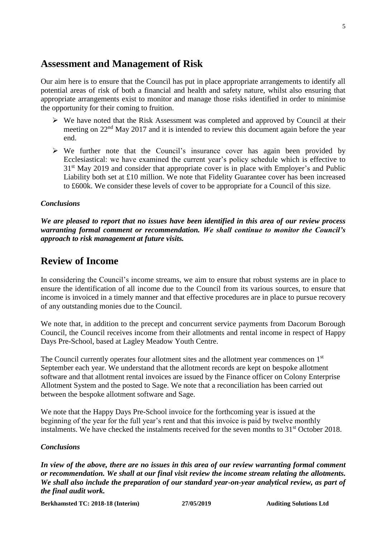### **Assessment and Management of Risk**

Our aim here is to ensure that the Council has put in place appropriate arrangements to identify all potential areas of risk of both a financial and health and safety nature, whilst also ensuring that appropriate arrangements exist to monitor and manage those risks identified in order to minimise the opportunity for their coming to fruition.

- ➢ We have noted that the Risk Assessment was completed and approved by Council at their meeting on 22<sup>nd</sup> May 2017 and it is intended to review this document again before the year end.
- ➢ We further note that the Council's insurance cover has again been provided by Ecclesiastical: we have examined the current year's policy schedule which is effective to 31<sup>st</sup> May 2019 and consider that appropriate cover is in place with Employer's and Public Liability both set at £10 million. We note that Fidelity Guarantee cover has been increased to £600k. We consider these levels of cover to be appropriate for a Council of this size.

#### *Conclusions*

*We are pleased to report that no issues have been identified in this area of our review process warranting formal comment or recommendation. We shall continue to monitor the Council's approach to risk management at future visits.*

### **Review of Income**

In considering the Council's income streams, we aim to ensure that robust systems are in place to ensure the identification of all income due to the Council from its various sources, to ensure that income is invoiced in a timely manner and that effective procedures are in place to pursue recovery of any outstanding monies due to the Council.

We note that, in addition to the precept and concurrent service payments from Dacorum Borough Council, the Council receives income from their allotments and rental income in respect of Happy Days Pre-School, based at Lagley Meadow Youth Centre.

The Council currently operates four allotment sites and the allotment year commences on 1st September each year. We understand that the allotment records are kept on bespoke allotment software and that allotment rental invoices are issued by the Finance officer on Colony Enterprise Allotment System and the posted to Sage. We note that a reconciliation has been carried out between the bespoke allotment software and Sage.

We note that the Happy Days Pre-School invoice for the forthcoming year is issued at the beginning of the year for the full year's rent and that this invoice is paid by twelve monthly instalments. We have checked the instalments received for the seven months to 31<sup>st</sup> October 2018.

#### *Conclusions*

*In view of the above, there are no issues in this area of our review warranting formal comment or recommendation. We shall at our final visit review the income stream relating the allotments. We shall also include the preparation of our standard year-on-year analytical review, as part of the final audit work.*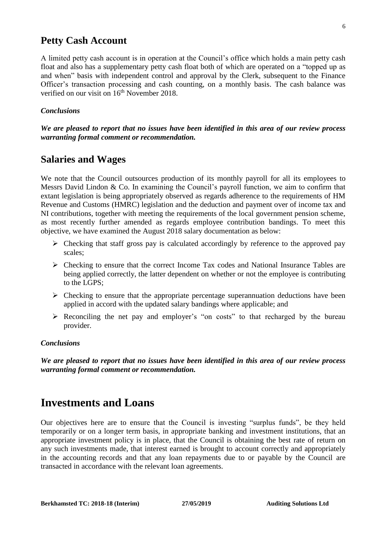### **Petty Cash Account**

A limited petty cash account is in operation at the Council's office which holds a main petty cash float and also has a supplementary petty cash float both of which are operated on a "topped up as and when" basis with independent control and approval by the Clerk, subsequent to the Finance Officer's transaction processing and cash counting, on a monthly basis. The cash balance was verified on our visit on 16<sup>th</sup> November 2018.

#### *Conclusions*

*We are pleased to report that no issues have been identified in this area of our review process warranting formal comment or recommendation.*

### **Salaries and Wages**

We note that the Council outsources production of its monthly payroll for all its employees to Messrs David Lindon & Co. In examining the Council's payroll function, we aim to confirm that extant legislation is being appropriately observed as regards adherence to the requirements of HM Revenue and Customs (HMRC) legislation and the deduction and payment over of income tax and NI contributions, together with meeting the requirements of the local government pension scheme, as most recently further amended as regards employee contribution bandings. To meet this objective, we have examined the August 2018 salary documentation as below:

- ➢ Checking that staff gross pay is calculated accordingly by reference to the approved pay scales;
- ➢ Checking to ensure that the correct Income Tax codes and National Insurance Tables are being applied correctly, the latter dependent on whether or not the employee is contributing to the LGPS;
- $\triangleright$  Checking to ensure that the appropriate percentage superannuation deductions have been applied in accord with the updated salary bandings where applicable; and
- ➢ Reconciling the net pay and employer's "on costs" to that recharged by the bureau provider.

#### *Conclusions*

*We are pleased to report that no issues have been identified in this area of our review process warranting formal comment or recommendation.*

# **Investments and Loans**

Our objectives here are to ensure that the Council is investing "surplus funds", be they held temporarily or on a longer term basis, in appropriate banking and investment institutions, that an appropriate investment policy is in place, that the Council is obtaining the best rate of return on any such investments made, that interest earned is brought to account correctly and appropriately in the accounting records and that any loan repayments due to or payable by the Council are transacted in accordance with the relevant loan agreements.